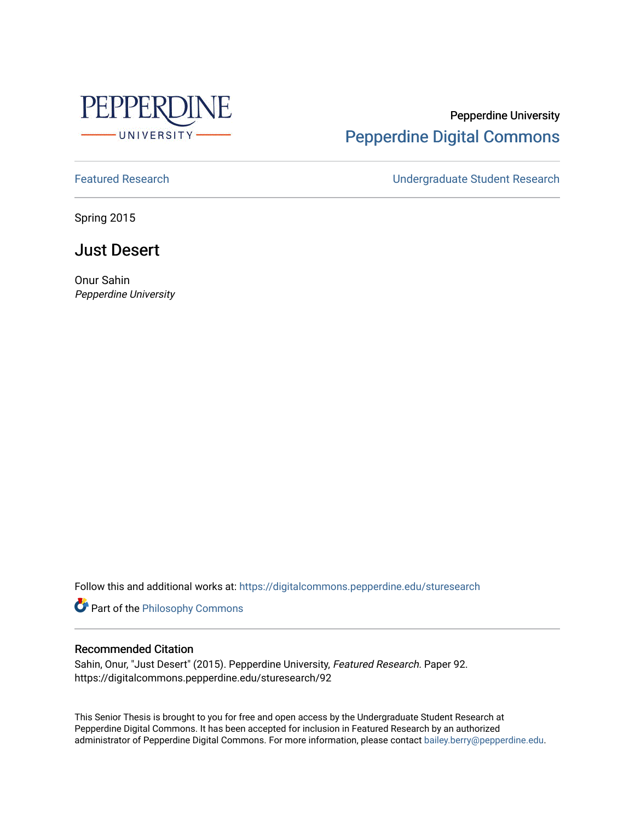

# Pepperdine University [Pepperdine Digital Commons](https://digitalcommons.pepperdine.edu/)

[Featured Research](https://digitalcommons.pepperdine.edu/sturesearch) [Undergraduate Student Research](https://digitalcommons.pepperdine.edu/usr) 

Spring 2015

# Just Desert

Onur Sahin Pepperdine University

Follow this and additional works at: [https://digitalcommons.pepperdine.edu/sturesearch](https://digitalcommons.pepperdine.edu/sturesearch?utm_source=digitalcommons.pepperdine.edu%2Fsturesearch%2F92&utm_medium=PDF&utm_campaign=PDFCoverPages)

**Part of the Philosophy Commons** 

#### Recommended Citation

Sahin, Onur, "Just Desert" (2015). Pepperdine University, Featured Research. Paper 92. https://digitalcommons.pepperdine.edu/sturesearch/92

This Senior Thesis is brought to you for free and open access by the Undergraduate Student Research at Pepperdine Digital Commons. It has been accepted for inclusion in Featured Research by an authorized administrator of Pepperdine Digital Commons. For more information, please contact [bailey.berry@pepperdine.edu](mailto:bailey.berry@pepperdine.edu).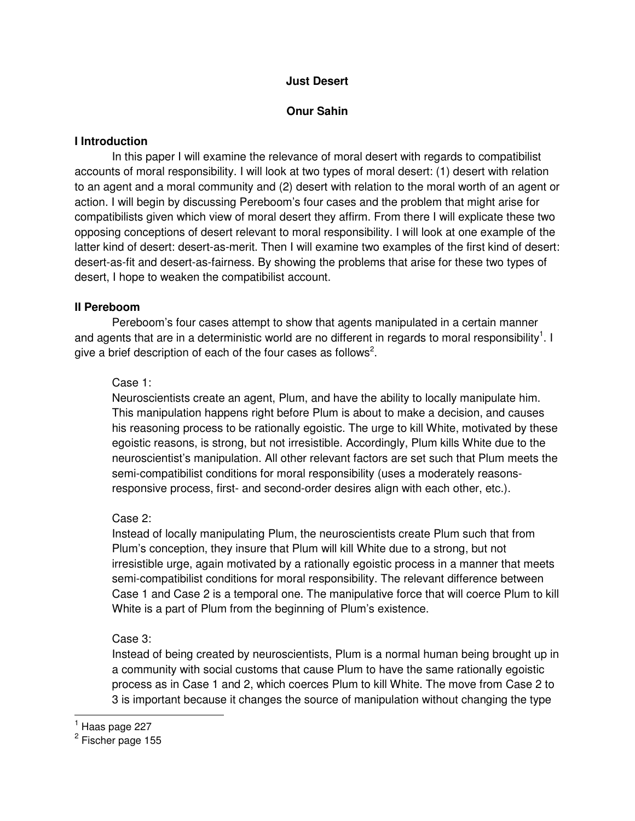#### **Just Desert**

#### **Onur Sahin**

#### **I Introduction**

In this paper I will examine the relevance of moral desert with regards to compatibilist accounts of moral responsibility. I will look at two types of moral desert: (1) desert with relation to an agent and a moral community and (2) desert with relation to the moral worth of an agent or action. I will begin by discussing Pereboom's four cases and the problem that might arise for compatibilists given which view of moral desert they affirm. From there I will explicate these two opposing conceptions of desert relevant to moral responsibility. I will look at one example of the latter kind of desert: desert-as-merit. Then I will examine two examples of the first kind of desert: desert-as-fit and desert-as-fairness. By showing the problems that arise for these two types of desert, I hope to weaken the compatibilist account.

#### **II Pereboom**

Pereboom's four cases attempt to show that agents manipulated in a certain manner and agents that are in a deterministic world are no different in regards to moral responsibility<sup>1</sup>. I give a brief description of each of the four cases as follows<sup>2</sup>.

#### Case 1:

Neuroscientists create an agent, Plum, and have the ability to locally manipulate him. This manipulation happens right before Plum is about to make a decision, and causes his reasoning process to be rationally egoistic. The urge to kill White, motivated by these egoistic reasons, is strong, but not irresistible. Accordingly, Plum kills White due to the neuroscientist's manipulation. All other relevant factors are set such that Plum meets the semi-compatibilist conditions for moral responsibility (uses a moderately reasonsresponsive process, first- and second-order desires align with each other, etc.).

### Case 2:

Instead of locally manipulating Plum, the neuroscientists create Plum such that from Plum's conception, they insure that Plum will kill White due to a strong, but not irresistible urge, again motivated by a rationally egoistic process in a manner that meets semi-compatibilist conditions for moral responsibility. The relevant difference between Case 1 and Case 2 is a temporal one. The manipulative force that will coerce Plum to kill White is a part of Plum from the beginning of Plum's existence.

### Case 3:

Instead of being created by neuroscientists, Plum is a normal human being brought up in a community with social customs that cause Plum to have the same rationally egoistic process as in Case 1 and 2, which coerces Plum to kill White. The move from Case 2 to 3 is important because it changes the source of manipulation without changing the type

-

 $^1$  Haas page 227

<sup>&</sup>lt;sup>2</sup> Fischer page 155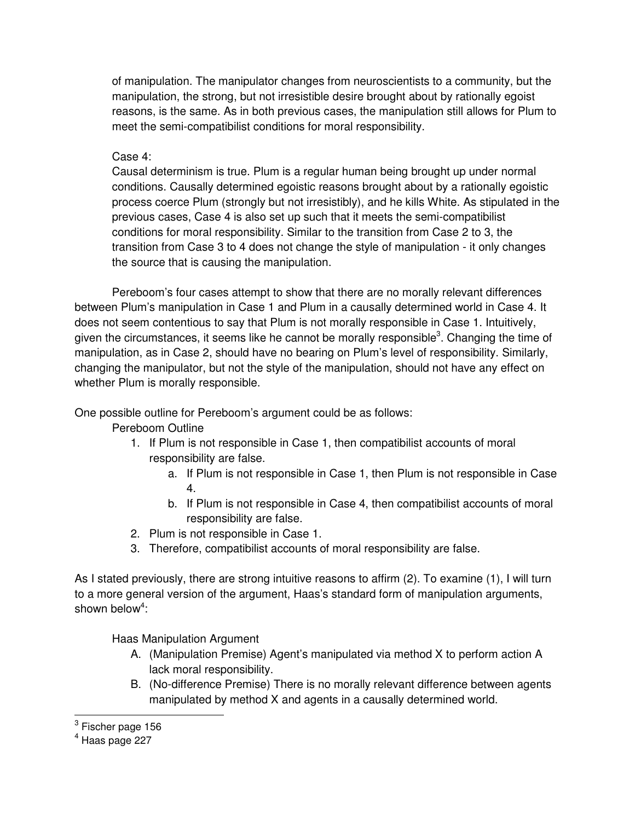of manipulation. The manipulator changes from neuroscientists to a community, but the manipulation, the strong, but not irresistible desire brought about by rationally egoist reasons, is the same. As in both previous cases, the manipulation still allows for Plum to meet the semi-compatibilist conditions for moral responsibility.

Case 4:

Causal determinism is true. Plum is a regular human being brought up under normal conditions. Causally determined egoistic reasons brought about by a rationally egoistic process coerce Plum (strongly but not irresistibly), and he kills White. As stipulated in the previous cases, Case 4 is also set up such that it meets the semi-compatibilist conditions for moral responsibility. Similar to the transition from Case 2 to 3, the transition from Case 3 to 4 does not change the style of manipulation - it only changes the source that is causing the manipulation.

Pereboom's four cases attempt to show that there are no morally relevant differences between Plum's manipulation in Case 1 and Plum in a causally determined world in Case 4. It does not seem contentious to say that Plum is not morally responsible in Case 1. Intuitively, given the circumstances, it seems like he cannot be morally responsible<sup>3</sup>. Changing the time of manipulation, as in Case 2, should have no bearing on Plum's level of responsibility. Similarly, changing the manipulator, but not the style of the manipulation, should not have any effect on whether Plum is morally responsible.

One possible outline for Pereboom's argument could be as follows:

Pereboom Outline

- 1. If Plum is not responsible in Case 1, then compatibilist accounts of moral responsibility are false.
	- a. If Plum is not responsible in Case 1, then Plum is not responsible in Case 4.
	- b. If Plum is not responsible in Case 4, then compatibilist accounts of moral responsibility are false.
- 2. Plum is not responsible in Case 1.
- 3. Therefore, compatibilist accounts of moral responsibility are false.

As I stated previously, there are strong intuitive reasons to affirm (2). To examine (1), I will turn to a more general version of the argument, Haas's standard form of manipulation arguments, shown below<sup>4</sup>:

Haas Manipulation Argument

- A. (Manipulation Premise) Agent's manipulated via method X to perform action A lack moral responsibility.
- B. (No-difference Premise) There is no morally relevant difference between agents manipulated by method X and agents in a causally determined world.

 3 Fischer page 156

<sup>4</sup> Haas page 227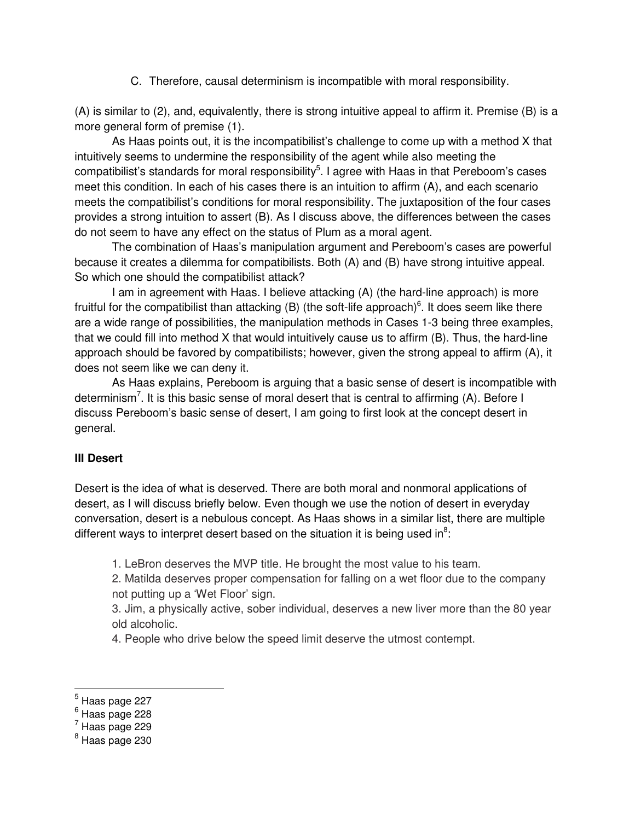C. Therefore, causal determinism is incompatible with moral responsibility.

(A) is similar to (2), and, equivalently, there is strong intuitive appeal to affirm it. Premise (B) is a more general form of premise (1).

 As Haas points out, it is the incompatibilist's challenge to come up with a method X that intuitively seems to undermine the responsibility of the agent while also meeting the compatibilist's standards for moral responsibility<sup>5</sup>. I agree with Haas in that Pereboom's cases meet this condition. In each of his cases there is an intuition to affirm (A), and each scenario meets the compatibilist's conditions for moral responsibility. The juxtaposition of the four cases provides a strong intuition to assert (B). As I discuss above, the differences between the cases do not seem to have any effect on the status of Plum as a moral agent.

 The combination of Haas's manipulation argument and Pereboom's cases are powerful because it creates a dilemma for compatibilists. Both (A) and (B) have strong intuitive appeal. So which one should the compatibilist attack?

 I am in agreement with Haas. I believe attacking (A) (the hard-line approach) is more fruitful for the compatibilist than attacking (B) (the soft-life approach) $6$ . It does seem like there are a wide range of possibilities, the manipulation methods in Cases 1-3 being three examples, that we could fill into method X that would intuitively cause us to affirm (B). Thus, the hard-line approach should be favored by compatibilists; however, given the strong appeal to affirm (A), it does not seem like we can deny it.

 As Haas explains, Pereboom is arguing that a basic sense of desert is incompatible with determinism<sup>7</sup>. It is this basic sense of moral desert that is central to affirming (A). Before I discuss Pereboom's basic sense of desert, I am going to first look at the concept desert in general.

### **III Desert**

Desert is the idea of what is deserved. There are both moral and nonmoral applications of desert, as I will discuss briefly below. Even though we use the notion of desert in everyday conversation, desert is a nebulous concept. As Haas shows in a similar list, there are multiple different ways to interpret desert based on the situation it is being used in $8$ :

1. LeBron deserves the MVP title. He brought the most value to his team.

2. Matilda deserves proper compensation for falling on a wet floor due to the company not putting up a 'Wet Floor' sign.

3. Jim, a physically active, sober individual, deserves a new liver more than the 80 year old alcoholic.

4. People who drive below the speed limit deserve the utmost contempt.

 $^5$  Haas page 227

 $^{\rm 6}$  Haas page 228

 $<sup>7</sup>$  Haas page 229</sup>

<sup>&</sup>lt;sup>8</sup> Haas page 230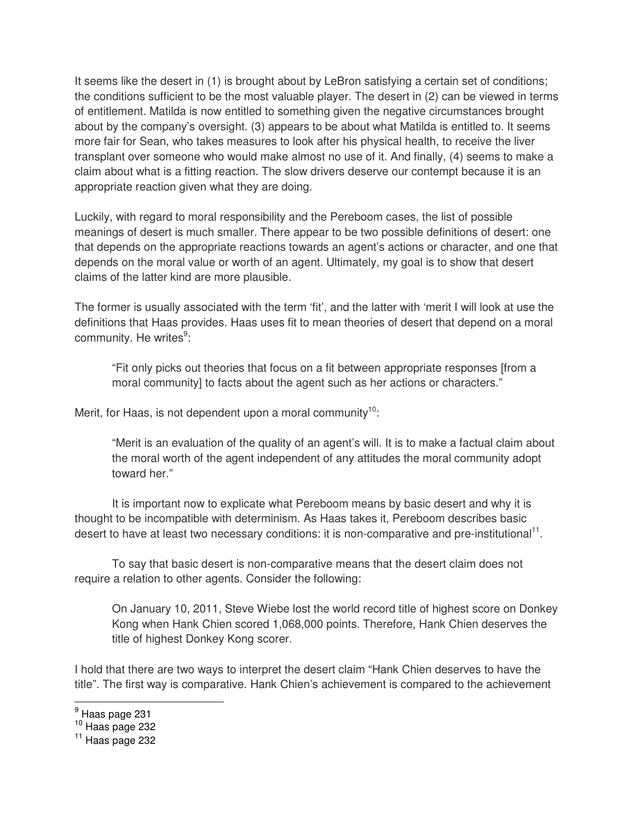It seems like the desert in (1) is brought about by LeBron satisfying a certain set of conditions; the conditions sufficient to be the most valuable player. The desert in (2) can be viewed in terms of entitlement. Matilda is now entitled to something given the negative circumstances brought about by the company's oversight. (3) appears to be about what Matilda is entitled to. It seems more fair for Sean, who takes measures to look after his physical health, to receive the liver transplant over someone who would make almost no use of it. And finally, (4) seems to make a claim about what is a fitting reaction. The slow drivers deserve our contempt because it is an appropriate reaction given what they are doing.

Luckily, with regard to moral responsibility and the Pereboom cases, the list of possible meanings of desert is much smaller. There appear to be two possible definitions of desert: one that depends on the appropriate reactions towards an agent's actions or character, and one that depends on the moral value or worth of an agent. Ultimately, my goal is to show that desert claims of the latter kind are more plausible.

The former is usually associated with the term 'fit', and the latter with 'merit I will look at use the definitions that Haas provides. Haas uses fit to mean theories of desert that depend on a moral community. He writes<sup>9</sup>:

"Fit only picks out theories that focus on a fit between appropriate responses [from a moral community] to facts about the agent such as her actions or characters."

Merit, for Haas, is not dependent upon a moral community<sup>10</sup>:

"Merit is an evaluation of the quality of an agent's will. It is to make a factual claim about the moral worth of the agent independent of any attitudes the moral community adopt toward her."

It is important now to explicate what Pereboom means by basic desert and why it is thought to be incompatible with determinism. As Haas takes it, Pereboom describes basic desert to have at least two necessary conditions: it is non-comparative and pre-institutional<sup>11</sup>.

To say that basic desert is non-comparative means that the desert claim does not require a relation to other agents. Consider the following:

On January 10, 2011, Steve Wiebe lost the world record title of highest score on Donkey Kong when Hank Chien scored 1,068,000 points. Therefore, Hank Chien deserves the title of highest Donkey Kong scorer.

I hold that there are two ways to interpret the desert claim "Hank Chien deserves to have the title". The first way is comparative. Hank Chien's achievement is compared to the achievement

<sup>&</sup>lt;u>。</u><br><sup>9</sup> Haas page 231

 $10$  Haas page 232

 $11$  Haas page 232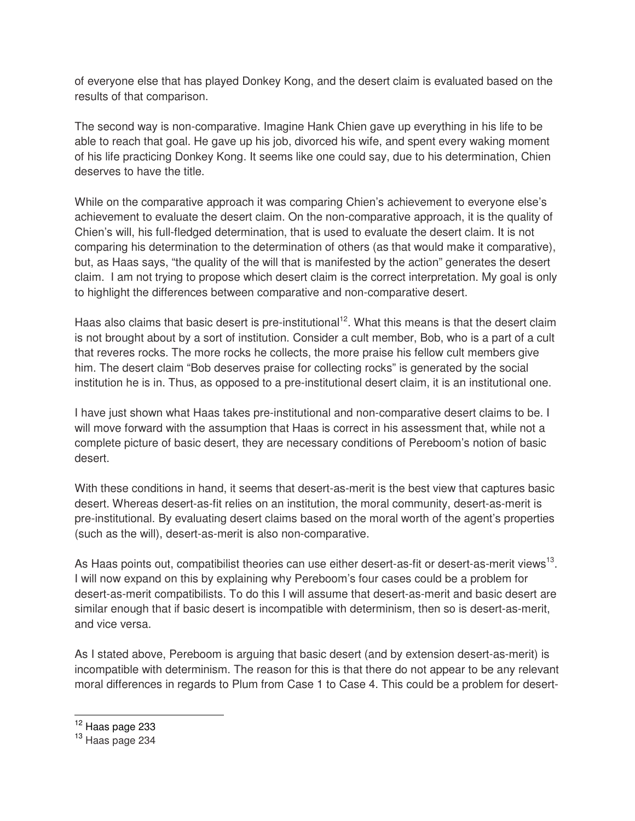of everyone else that has played Donkey Kong, and the desert claim is evaluated based on the results of that comparison.

The second way is non-comparative. Imagine Hank Chien gave up everything in his life to be able to reach that goal. He gave up his job, divorced his wife, and spent every waking moment of his life practicing Donkey Kong. It seems like one could say, due to his determination, Chien deserves to have the title.

While on the comparative approach it was comparing Chien's achievement to everyone else's achievement to evaluate the desert claim. On the non-comparative approach, it is the quality of Chien's will, his full-fledged determination, that is used to evaluate the desert claim. It is not comparing his determination to the determination of others (as that would make it comparative), but, as Haas says, "the quality of the will that is manifested by the action" generates the desert claim. I am not trying to propose which desert claim is the correct interpretation. My goal is only to highlight the differences between comparative and non-comparative desert.

Haas also claims that basic desert is pre-institutional<sup>12</sup>. What this means is that the desert claim is not brought about by a sort of institution. Consider a cult member, Bob, who is a part of a cult that reveres rocks. The more rocks he collects, the more praise his fellow cult members give him. The desert claim "Bob deserves praise for collecting rocks" is generated by the social institution he is in. Thus, as opposed to a pre-institutional desert claim, it is an institutional one.

I have just shown what Haas takes pre-institutional and non-comparative desert claims to be. I will move forward with the assumption that Haas is correct in his assessment that, while not a complete picture of basic desert, they are necessary conditions of Pereboom's notion of basic desert.

With these conditions in hand, it seems that desert-as-merit is the best view that captures basic desert. Whereas desert-as-fit relies on an institution, the moral community, desert-as-merit is pre-institutional. By evaluating desert claims based on the moral worth of the agent's properties (such as the will), desert-as-merit is also non-comparative.

As Haas points out, compatibilist theories can use either desert-as-fit or desert-as-merit views<sup>13</sup>. I will now expand on this by explaining why Pereboom's four cases could be a problem for desert-as-merit compatibilists. To do this I will assume that desert-as-merit and basic desert are similar enough that if basic desert is incompatible with determinism, then so is desert-as-merit, and vice versa.

As I stated above, Pereboom is arguing that basic desert (and by extension desert-as-merit) is incompatible with determinism. The reason for this is that there do not appear to be any relevant moral differences in regards to Plum from Case 1 to Case 4. This could be a problem for desert-

<sup>&</sup>lt;sup>12</sup> Haas page 233

<sup>&</sup>lt;sup>13</sup> Haas page 234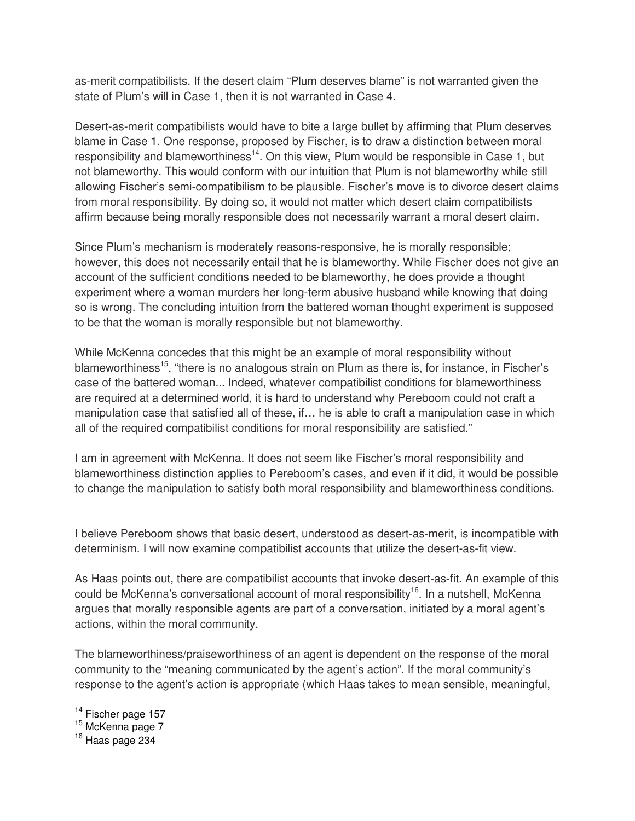as-merit compatibilists. If the desert claim "Plum deserves blame" is not warranted given the state of Plum's will in Case 1, then it is not warranted in Case 4.

Desert-as-merit compatibilists would have to bite a large bullet by affirming that Plum deserves blame in Case 1. One response, proposed by Fischer, is to draw a distinction between moral responsibility and blameworthiness<sup>14</sup>. On this view, Plum would be responsible in Case 1, but not blameworthy. This would conform with our intuition that Plum is not blameworthy while still allowing Fischer's semi-compatibilism to be plausible. Fischer's move is to divorce desert claims from moral responsibility. By doing so, it would not matter which desert claim compatibilists affirm because being morally responsible does not necessarily warrant a moral desert claim.

Since Plum's mechanism is moderately reasons-responsive, he is morally responsible; however, this does not necessarily entail that he is blameworthy. While Fischer does not give an account of the sufficient conditions needed to be blameworthy, he does provide a thought experiment where a woman murders her long-term abusive husband while knowing that doing so is wrong. The concluding intuition from the battered woman thought experiment is supposed to be that the woman is morally responsible but not blameworthy.

While McKenna concedes that this might be an example of moral responsibility without blameworthiness<sup>15</sup>, "there is no analogous strain on Plum as there is, for instance, in Fischer's case of the battered woman... Indeed, whatever compatibilist conditions for blameworthiness are required at a determined world, it is hard to understand why Pereboom could not craft a manipulation case that satisfied all of these, if… he is able to craft a manipulation case in which all of the required compatibilist conditions for moral responsibility are satisfied."

I am in agreement with McKenna. It does not seem like Fischer's moral responsibility and blameworthiness distinction applies to Pereboom's cases, and even if it did, it would be possible to change the manipulation to satisfy both moral responsibility and blameworthiness conditions.

I believe Pereboom shows that basic desert, understood as desert-as-merit, is incompatible with determinism. I will now examine compatibilist accounts that utilize the desert-as-fit view.

As Haas points out, there are compatibilist accounts that invoke desert-as-fit. An example of this could be McKenna's conversational account of moral responsibility<sup>16</sup>. In a nutshell, McKenna argues that morally responsible agents are part of a conversation, initiated by a moral agent's actions, within the moral community.

The blameworthiness/praiseworthiness of an agent is dependent on the response of the moral community to the "meaning communicated by the agent's action". If the moral community's response to the agent's action is appropriate (which Haas takes to mean sensible, meaningful,

 $\overline{a}$ <sup>14</sup> Fischer page 157

<sup>&</sup>lt;sup>15</sup> McKenna page 7

<sup>&</sup>lt;sup>16</sup> Haas page 234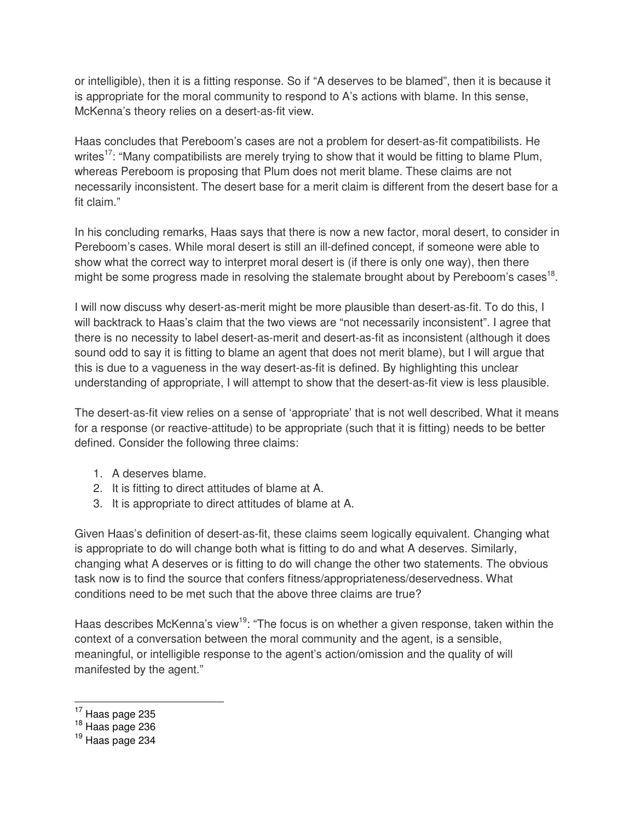or intelligible), then it is a fitting response. So if "A deserves to be blamed", then it is because it is appropriate for the moral community to respond to A's actions with blame. In this sense, McKenna's theory relies on a desert-as-fit view.

Haas concludes that Pereboom's cases are not a problem for desert-as-fit compatibilists. He writes<sup>17</sup>: "Many compatibilists are merely trying to show that it would be fitting to blame Plum, whereas Pereboom is proposing that Plum does not merit blame. These claims are not necessarily inconsistent. The desert base for a merit claim is different from the desert base for a fit claim."

In his concluding remarks, Haas says that there is now a new factor, moral desert, to consider in Pereboom's cases. While moral desert is still an ill-defined concept, if someone were able to show what the correct way to interpret moral desert is (if there is only one way), then there might be some progress made in resolving the stalemate brought about by Pereboom's cases<sup>18</sup>.

I will now discuss why desert-as-merit might be more plausible than desert-as-fit. To do this, I will backtrack to Haas's claim that the two views are "not necessarily inconsistent". I agree that there is no necessity to label desert-as-merit and desert-as-fit as inconsistent (although it does sound odd to say it is fitting to blame an agent that does not merit blame), but I will argue that this is due to a vagueness in the way desert-as-fit is defined. By highlighting this unclear understanding of appropriate, I will attempt to show that the desert-as-fit view is less plausible.

The desert-as-fit view relies on a sense of 'appropriate' that is not well described. What it means for a response (or reactive-attitude) to be appropriate (such that it is fitting) needs to be better defined. Consider the following three claims:

- 1. A deserves blame.
- 2. It is fitting to direct attitudes of blame at A.
- 3. It is appropriate to direct attitudes of blame at A.

Given Haas's definition of desert-as-fit, these claims seem logically equivalent. Changing what is appropriate to do will change both what is fitting to do and what A deserves. Similarly, changing what A deserves or is fitting to do will change the other two statements. The obvious task now is to find the source that confers fitness/appropriateness/deservedness. What conditions need to be met such that the above three claims are true?

Haas describes McKenna's view<sup>19</sup>: "The focus is on whether a given response, taken within the context of a conversation between the moral community and the agent, is a sensible, meaningful, or intelligible response to the agent's action/omission and the quality of will manifested by the agent."

 $\overline{a}$ 

 $18$  Haas page 236

 $17$  Haas page 235

 $19$  Haas page 234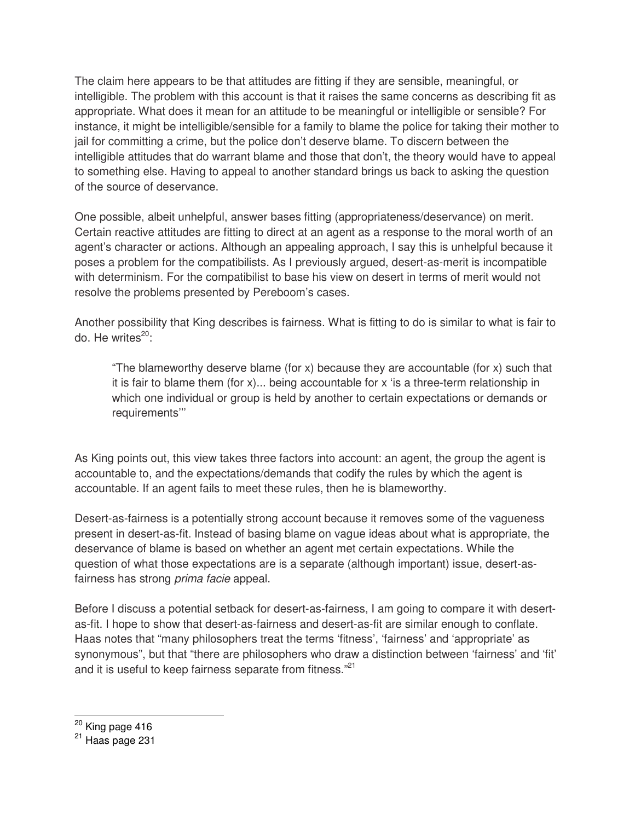The claim here appears to be that attitudes are fitting if they are sensible, meaningful, or intelligible. The problem with this account is that it raises the same concerns as describing fit as appropriate. What does it mean for an attitude to be meaningful or intelligible or sensible? For instance, it might be intelligible/sensible for a family to blame the police for taking their mother to jail for committing a crime, but the police don't deserve blame. To discern between the intelligible attitudes that do warrant blame and those that don't, the theory would have to appeal to something else. Having to appeal to another standard brings us back to asking the question of the source of deservance.

One possible, albeit unhelpful, answer bases fitting (appropriateness/deservance) on merit. Certain reactive attitudes are fitting to direct at an agent as a response to the moral worth of an agent's character or actions. Although an appealing approach, I say this is unhelpful because it poses a problem for the compatibilists. As I previously argued, desert-as-merit is incompatible with determinism. For the compatibilist to base his view on desert in terms of merit would not resolve the problems presented by Pereboom's cases.

Another possibility that King describes is fairness. What is fitting to do is similar to what is fair to do. He writes $^{20}$ :

"The blameworthy deserve blame (for  $x$ ) because they are accountable (for  $x$ ) such that it is fair to blame them (for x)... being accountable for x 'is a three-term relationship in which one individual or group is held by another to certain expectations or demands or requirements'''

As King points out, this view takes three factors into account: an agent, the group the agent is accountable to, and the expectations/demands that codify the rules by which the agent is accountable. If an agent fails to meet these rules, then he is blameworthy.

Desert-as-fairness is a potentially strong account because it removes some of the vagueness present in desert-as-fit. Instead of basing blame on vague ideas about what is appropriate, the deservance of blame is based on whether an agent met certain expectations. While the question of what those expectations are is a separate (although important) issue, desert-asfairness has strong prima facie appeal.

Before I discuss a potential setback for desert-as-fairness, I am going to compare it with desertas-fit. I hope to show that desert-as-fairness and desert-as-fit are similar enough to conflate. Haas notes that "many philosophers treat the terms 'fitness', 'fairness' and 'appropriate' as synonymous", but that "there are philosophers who draw a distinction between 'fairness' and 'fit' and it is useful to keep fairness separate from fitness."<sup>21</sup>

<sup>&</sup>lt;sup>20</sup> King page 416

 $21$  Haas page 231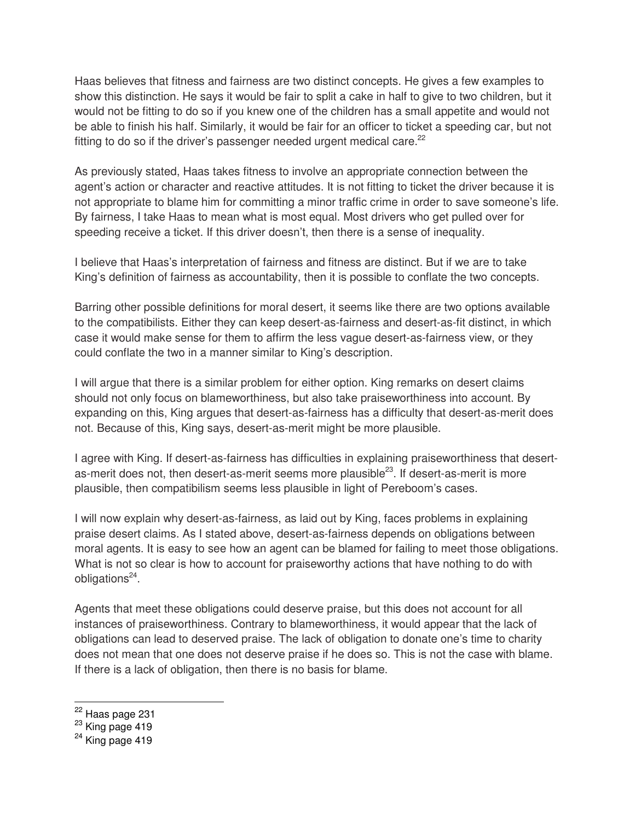Haas believes that fitness and fairness are two distinct concepts. He gives a few examples to show this distinction. He says it would be fair to split a cake in half to give to two children, but it would not be fitting to do so if you knew one of the children has a small appetite and would not be able to finish his half. Similarly, it would be fair for an officer to ticket a speeding car, but not fitting to do so if the driver's passenger needed urgent medical care.<sup>22</sup>

As previously stated, Haas takes fitness to involve an appropriate connection between the agent's action or character and reactive attitudes. It is not fitting to ticket the driver because it is not appropriate to blame him for committing a minor traffic crime in order to save someone's life. By fairness, I take Haas to mean what is most equal. Most drivers who get pulled over for speeding receive a ticket. If this driver doesn't, then there is a sense of inequality.

I believe that Haas's interpretation of fairness and fitness are distinct. But if we are to take King's definition of fairness as accountability, then it is possible to conflate the two concepts.

Barring other possible definitions for moral desert, it seems like there are two options available to the compatibilists. Either they can keep desert-as-fairness and desert-as-fit distinct, in which case it would make sense for them to affirm the less vague desert-as-fairness view, or they could conflate the two in a manner similar to King's description.

I will argue that there is a similar problem for either option. King remarks on desert claims should not only focus on blameworthiness, but also take praiseworthiness into account. By expanding on this, King argues that desert-as-fairness has a difficulty that desert-as-merit does not. Because of this, King says, desert-as-merit might be more plausible.

I agree with King. If desert-as-fairness has difficulties in explaining praiseworthiness that desertas-merit does not, then desert-as-merit seems more plausible<sup>23</sup>. If desert-as-merit is more plausible, then compatibilism seems less plausible in light of Pereboom's cases.

I will now explain why desert-as-fairness, as laid out by King, faces problems in explaining praise desert claims. As I stated above, desert-as-fairness depends on obligations between moral agents. It is easy to see how an agent can be blamed for failing to meet those obligations. What is not so clear is how to account for praiseworthy actions that have nothing to do with obligations<sup>24</sup>.

Agents that meet these obligations could deserve praise, but this does not account for all instances of praiseworthiness. Contrary to blameworthiness, it would appear that the lack of obligations can lead to deserved praise. The lack of obligation to donate one's time to charity does not mean that one does not deserve praise if he does so. This is not the case with blame. If there is a lack of obligation, then there is no basis for blame.

<sup>&</sup>lt;sup>22</sup> Haas page 231

<sup>&</sup>lt;sup>23</sup> King page 419

 $24$  King page 419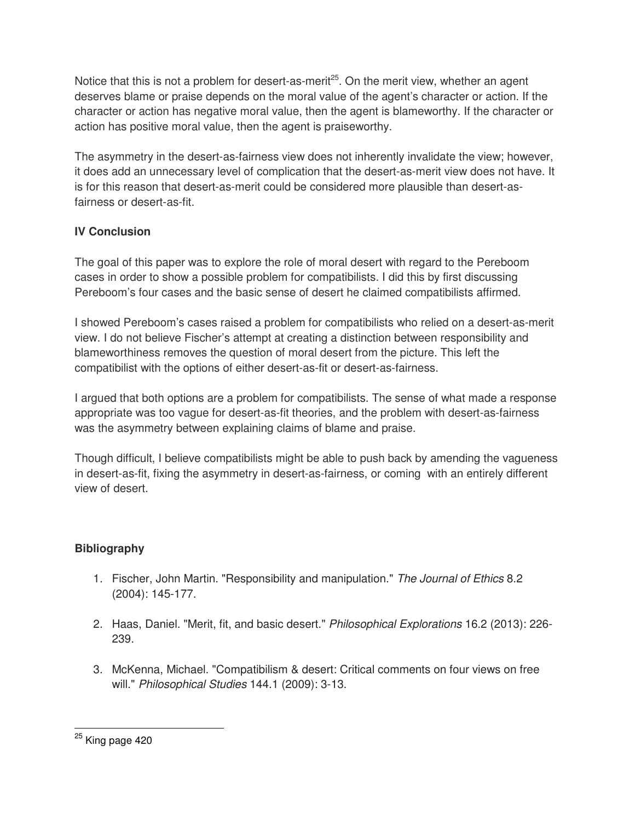Notice that this is not a problem for desert-as-merit<sup>25</sup>. On the merit view, whether an agent deserves blame or praise depends on the moral value of the agent's character or action. If the character or action has negative moral value, then the agent is blameworthy. If the character or action has positive moral value, then the agent is praiseworthy.

The asymmetry in the desert-as-fairness view does not inherently invalidate the view; however, it does add an unnecessary level of complication that the desert-as-merit view does not have. It is for this reason that desert-as-merit could be considered more plausible than desert-asfairness or desert-as-fit.

## **IV Conclusion**

The goal of this paper was to explore the role of moral desert with regard to the Pereboom cases in order to show a possible problem for compatibilists. I did this by first discussing Pereboom's four cases and the basic sense of desert he claimed compatibilists affirmed.

I showed Pereboom's cases raised a problem for compatibilists who relied on a desert-as-merit view. I do not believe Fischer's attempt at creating a distinction between responsibility and blameworthiness removes the question of moral desert from the picture. This left the compatibilist with the options of either desert-as-fit or desert-as-fairness.

I argued that both options are a problem for compatibilists. The sense of what made a response appropriate was too vague for desert-as-fit theories, and the problem with desert-as-fairness was the asymmetry between explaining claims of blame and praise.

Though difficult, I believe compatibilists might be able to push back by amending the vagueness in desert-as-fit, fixing the asymmetry in desert-as-fairness, or coming with an entirely different view of desert.

## **Bibliography**

- 1. Fischer, John Martin. "Responsibility and manipulation." The Journal of Ethics 8.2 (2004): 145-177.
- 2. Haas, Daniel. "Merit, fit, and basic desert." Philosophical Explorations 16.2 (2013): 226- 239.
- 3. McKenna, Michael. "Compatibilism & desert: Critical comments on four views on free will." Philosophical Studies 144.1 (2009): 3-13.

 $\overline{a}$ <sup>25</sup> King page 420